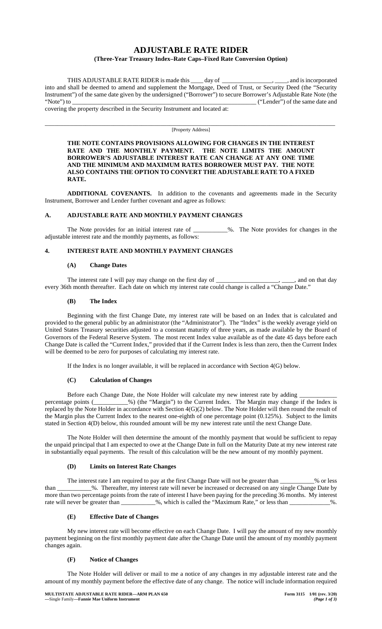# **ADJUSTABLE RATE RIDER**

## **(Three-Year Treasury Index–Rate Caps–Fixed Rate Conversion Option)**

THIS ADJUSTABLE RATE RIDER is made this \_\_\_\_ day of \_\_\_\_\_\_\_\_\_\_\_\_\_\_\_\_\_, \_\_\_\_, and is incorporated into and shall be deemed to amend and supplement the Mortgage, Deed of Trust, or Security Deed (the "Security Instrument") of the same date given by the undersigned ("Borrower") to secure Borrower's Adjustable Rate Note (the "Note") to  $($ "Lender") of the same date and covering the property described in the Security Instrument and located at:

#### \_\_\_\_\_\_\_\_\_\_\_\_\_\_\_\_\_\_\_\_\_\_\_\_\_\_\_\_\_\_\_\_\_\_\_\_\_\_\_\_\_\_\_\_\_\_\_\_\_\_\_\_\_\_\_\_\_\_\_\_\_\_\_\_\_\_\_\_\_\_\_\_\_\_\_\_\_\_\_\_\_\_\_\_\_\_\_\_\_\_\_\_\_ [Property Address]

**THE NOTE CONTAINS PROVISIONS ALLOWING FOR CHANGES IN THE INTEREST RATE AND THE MONTHLY PAYMENT. THE NOTE LIMITS THE AMOUNT BORROWER'S ADJUSTABLE INTEREST RATE CAN CHANGE AT ANY ONE TIME AND THE MINIMUM AND MAXIMUM RATES BORROWER MUST PAY. THE NOTE ALSO CONTAINS THE OPTION TO CONVERT THE ADJUSTABLE RATE TO A FIXED RATE.**

**ADDITIONAL COVENANTS.** In addition to the covenants and agreements made in the Security Instrument, Borrower and Lender further covenant and agree as follows:

#### **A. ADJUSTABLE RATE AND MONTHLY PAYMENT CHANGES**

The Note provides for an initial interest rate of \_\_\_\_\_\_\_\_\_\_\_%. The Note provides for changes in the adjustable interest rate and the monthly payments, as follows:

#### **4. INTEREST RATE AND MONTHLY PAYMENT CHANGES**

#### **(A) Change Dates**

The interest rate I will pay may change on the first day of \_\_\_\_\_\_\_\_\_\_\_\_\_\_\_\_\_\_\_, \_\_\_\_, and on that day every 36th month thereafter. Each date on which my interest rate could change is called a "Change Date."

#### **(B) The Index**

Beginning with the first Change Date, my interest rate will be based on an Index that is calculated and provided to the general public by an administrator (the "Administrator"). The "Index" is the weekly average yield on United States Treasury securities adjusted to a constant maturity of three years, as made available by the Board of Governors of the Federal Reserve System. The most recent Index value available as of the date 45 days before each Change Date is called the "Current Index," provided that if the Current Index is less than zero, then the Current Index will be deemed to be zero for purposes of calculating my interest rate.

If the Index is no longer available, it will be replaced in accordance with Section 4(G) below.

#### **(C) Calculation of Changes**

Before each Change Date, the Note Holder will calculate my new interest rate by adding percentage points (\_\_\_\_\_\_\_\_\_\_\_%) (the "Margin") to the Current Index. The Margin may change if the Index is replaced by the Note Holder in accordance with Section 4(G)(2) below. The Note Holder will then round the result of the Margin plus the Current Index to the nearest one-eighth of one percentage point (0.125%). Subject to the limits stated in Section 4(D) below, this rounded amount will be my new interest rate until the next Change Date.

The Note Holder will then determine the amount of the monthly payment that would be sufficient to repay the unpaid principal that I am expected to owe at the Change Date in full on the Maturity Date at my new interest rate in substantially equal payments. The result of this calculation will be the new amount of my monthly payment.

#### **(D) Limits on Interest Rate Changes**

The interest rate I am required to pay at the first Change Date will not be greater than \_\_\_\_\_\_\_\_\_\_\_% or less than \_\_\_\_\_\_\_\_\_\_\_%. Thereafter, my interest rate will never be increased or decreased on any single Change Date by more than two percentage points from the rate of interest I have been paying for the preceding 36 months. My interest rate will never be greater than \_\_\_\_\_\_\_\_\_\_%, which is called the "Maximum Rate," or less than \_\_\_\_\_\_\_\_\_\_\_\_%.

#### **(E) Effective Date of Changes**

My new interest rate will become effective on each Change Date. I will pay the amount of my new monthly payment beginning on the first monthly payment date after the Change Date until the amount of my monthly payment changes again.

## **(F) Notice of Changes**

The Note Holder will deliver or mail to me a notice of any changes in my adjustable interest rate and the amount of my monthly payment before the effective date of any change. The notice will include information required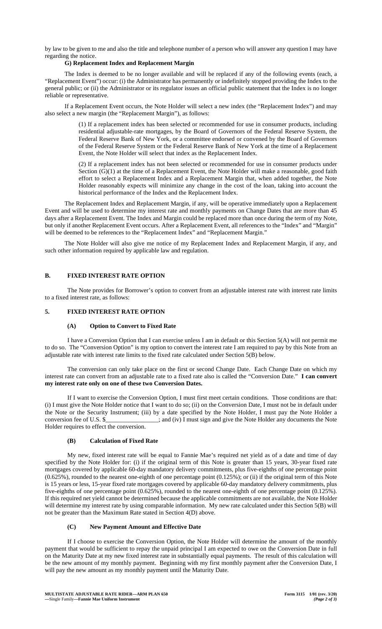by law to be given to me and also the title and telephone number of a person who will answer any question I may have regarding the notice.

## **G) Replacement Index and Replacement Margin**

The Index is deemed to be no longer available and will be replaced if any of the following events (each, a "Replacement Event") occur: (i) the Administrator has permanently or indefinitely stopped providing the Index to the general public; or (ii) the Administrator or its regulator issues an official public statement that the Index is no longer reliable or representative.

If a Replacement Event occurs, the Note Holder will select a new index (the "Replacement Index") and may also select a new margin (the "Replacement Margin"), as follows:

> (1) If a replacement index has been selected or recommended for use in consumer products, including residential adjustable-rate mortgages, by the Board of Governors of the Federal Reserve System, the Federal Reserve Bank of New York, or a committee endorsed or convened by the Board of Governors of the Federal Reserve System or the Federal Reserve Bank of New York at the time of a Replacement Event, the Note Holder will select that index as the Replacement Index.

> (2) If a replacement index has not been selected or recommended for use in consumer products under Section (G)(1) at the time of a Replacement Event, the Note Holder will make a reasonable, good faith effort to select a Replacement Index and a Replacement Margin that, when added together, the Note Holder reasonably expects will minimize any change in the cost of the loan, taking into account the historical performance of the Index and the Replacement Index.

The Replacement Index and Replacement Margin, if any, will be operative immediately upon a Replacement Event and will be used to determine my interest rate and monthly payments on Change Dates that are more than 45 days after a Replacement Event. The Index and Margin could be replaced more than once during the term of my Note, but only if another Replacement Event occurs. After a Replacement Event, all references to the "Index" and "Margin" will be deemed to be references to the "Replacement Index" and "Replacement Margin."

The Note Holder will also give me notice of my Replacement Index and Replacement Margin, if any, and such other information required by applicable law and regulation.

#### **B. FIXED INTEREST RATE OPTION**

The Note provides for Borrower's option to convert from an adjustable interest rate with interest rate limits to a fixed interest rate, as follows:

### **5. FIXED INTEREST RATE OPTION**

#### **(A) Option to Convert to Fixed Rate**

I have a Conversion Option that I can exercise unless I am in default or this Section 5(A) will not permit me to do so. The "Conversion Option" is my option to convert the interest rate I am required to pay by this Note from an adjustable rate with interest rate limits to the fixed rate calculated under Section 5(B) below.

The conversion can only take place on the first or second Change Date. Each Change Date on which my interest rate can convert from an adjustable rate to a fixed rate also is called the "Conversion Date." **I can convert my interest rate only on one of these two Conversion Dates.**

If I want to exercise the Conversion Option, I must first meet certain conditions. Those conditions are that: (i) I must give the Note Holder notice that I want to do so; (ii) on the Conversion Date, I must not be in default under the Note or the Security Instrument; (iii) by a date specified by the Note Holder, I must pay the Note Holder a<br>conversion fee of U.S. \$  $\therefore$ ; and (iv) I must sign and give the Note Holder any documents the Note Holder requires to effect the conversion.

#### **(B) Calculation of Fixed Rate**

My new, fixed interest rate will be equal to Fannie Mae's required net yield as of a date and time of day specified by the Note Holder for: (i) if the original term of this Note is greater than 15 years, 30-year fixed rate mortgages covered by applicable 60-day mandatory delivery commitments, plus five-eighths of one percentage point  $(0.625\%)$ , rounded to the nearest one-eighth of one percentage point  $(0.125\%)$ ; or (ii) if the original term of this Note is 15 years or less, 15-year fixed rate mortgages covered by applicable 60-day mandatory delivery commitments, plus five-eighths of one percentage point (0.625%), rounded to the nearest one-eighth of one percentage point (0.125%). If this required net yield cannot be determined because the applicable commitments are not available, the Note Holder will determine my interest rate by using comparable information. My new rate calculated under this Section 5(B) will not be greater than the Maximum Rate stated in Section 4(D) above.

#### **(C) New Payment Amount and Effective Date**

If I choose to exercise the Conversion Option, the Note Holder will determine the amount of the monthly payment that would be sufficient to repay the unpaid principal I am expected to owe on the Conversion Date in full on the Maturity Date at my new fixed interest rate in substantially equal payments. The result of this calculation will be the new amount of my monthly payment. Beginning with my first monthly payment after the Conversion Date, I will pay the new amount as my monthly payment until the Maturity Date.